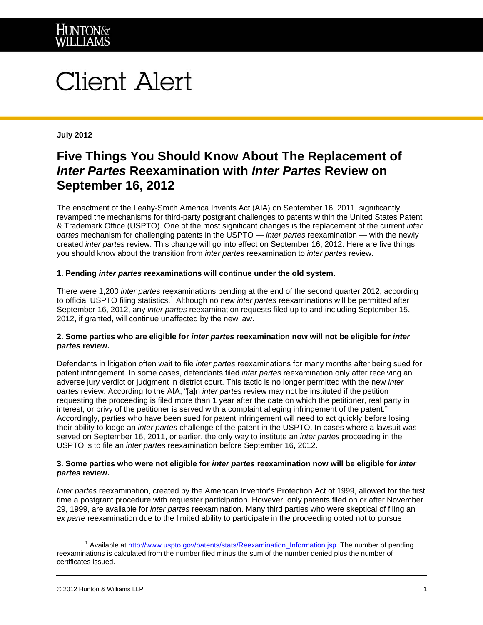

# Client Alert

**July 2012** 

## **Five Things You Should Know About The Replacement of**  *Inter Partes* **Reexamination with** *Inter Partes* **Review on September 16, 2012**

The enactment of the Leahy-Smith America Invents Act (AIA) on September 16, 2011, significantly revamped the mechanisms for third-party postgrant challenges to patents within the United States Patent & Trademark Office (USPTO). One of the most significant changes is the replacement of the current *inter partes* mechanism for challenging patents in the USPTO — *inter partes* reexamination — with the newly created *inter partes* review. This change will go into effect on September 16, 2012. Here are five things you should know about the transition from *inter partes* reexamination to *inter partes* review.

### **1. Pending** *inter partes* **reexaminations will continue under the old system.**

There were 1,200 *inter partes* reexaminations pending at the end of the second quarter 2012, according to official USPTO filing statistics.<sup>[1](#page-0-0)</sup> Although no new *inter partes* reexaminations will be permitted after September 16, 2012, any *inter partes* reexamination requests filed up to and including September 15, 2012, if granted, will continue unaffected by the new law.

#### **2. Some parties who are eligible for** *inter partes* **reexamination now will not be eligible for** *inter partes* **review.**

Defendants in litigation often wait to file *inter partes* reexaminations for many months after being sued for patent infringement. In some cases, defendants filed *inter partes* reexamination only after receiving an adverse jury verdict or judgment in district court. This tactic is no longer permitted with the new *inter partes* review. According to the AIA, "[a]n *inter partes* review may not be instituted if the petition requesting the proceeding is filed more than 1 year after the date on which the petitioner, real party in interest, or privy of the petitioner is served with a complaint alleging infringement of the patent." Accordingly, parties who have been sued for patent infringement will need to act quickly before losing their ability to lodge an *inter partes* challenge of the patent in the USPTO. In cases where a lawsuit was served on September 16, 2011, or earlier, the only way to institute an *inter partes* proceeding in the USPTO is to file an *inter partes* reexamination before September 16, 2012.

#### **3. Some parties who were not eligible for** *inter partes* **reexamination now will be eligible for** *inter partes* **review.**

*Inter partes* reexamination, created by the American Inventor's Protection Act of 1999, allowed for the first time a postgrant procedure with requester participation. However, only patents filed on or after November 29, 1999, are available for *inter partes* reexamination. Many third parties who were skeptical of filing an *ex parte* reexamination due to the limited ability to participate in the proceeding opted not to pursue

 $\overline{a}$ 

<span id="page-0-0"></span><sup>&</sup>lt;sup>1</sup> Available at [http://www.uspto.gov/patents/stats/Reexamination\\_Information.jsp](http://www.uspto.gov/patents/stats/Reexamination_Information.jsp). The number of pending reexaminations is calculated from the number filed minus the sum of the number denied plus the number of certificates issued.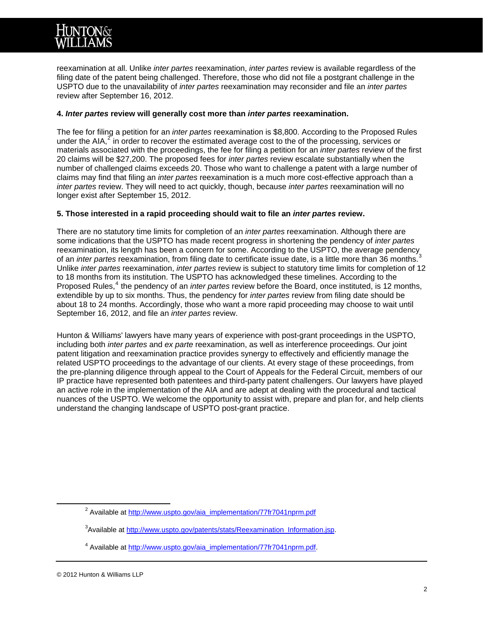

reexamination at all. Unlike *inter partes* reexamination, *inter partes* review is available regardless of the filing date of the patent being challenged. Therefore, those who did not file a postgrant challenge in the USPTO due to the unavailability of *inter partes* reexamination may reconsider and file an *inter partes*  review after September 16, 2012.

#### **4.** *Inter partes* **review will generally cost more than** *inter partes* **reexamination.**

The fee for filing a petition for an *inter partes* reexamination is \$8,800. According to the Proposed Rules under the AIA, $2$  in order to recover the estimated average cost to the of the processing, services or materials associated with the proceedings, the fee for filing a petition for an *inter partes* review of the first 20 claims will be \$27,200. The proposed fees for *inter partes* review escalate substantially when the number of challenged claims exceeds 20. Those who want to challenge a patent with a large number of claims may find that filing an *inter partes* reexamination is a much more cost-effective approach than a *inter partes* review. They will need to act quickly, though, because *inter partes* reexamination will no longer exist after September 15, 2012.

### **5. Those interested in a rapid proceeding should wait to file an** *inter partes* **review.**

There are no statutory time limits for completion of an *inter partes* reexamination. Although there are some indications that the USPTO has made recent progress in shortening the pendency of *inter partes*  reexamination, its length has been a concern for some. According to the USPTO, the average pendency, of an *inter partes* reexamination, from filing date to certificate issue date, is a little more than [3](#page-1-1)6 months. Unlike *inter partes* reexamination, *inter partes* review is subject to statutory time limits for completion of 12 to 18 months from its institution. The USPTO has acknowledged these timelines. According to the Proposed Rules,<sup>[4](#page-1-2)</sup> the pendency of an *inter partes* review before the Board, once instituted, is 12 months, extendible by up to six months. Thus, the pendency for *inter partes* review from filing date should be about 18 to 24 months. Accordingly, those who want a more rapid proceeding may choose to wait until September 16, 2012, and file an *inter partes* review.

Hunton & Williams' lawyers have many years of experience with post-grant proceedings in the USPTO, including both *inter partes* and *ex parte* reexamination, as well as interference proceedings. Our joint patent litigation and reexamination practice provides synergy to effectively and efficiently manage the related USPTO proceedings to the advantage of our clients. At every stage of these proceedings, from the pre-planning diligence through appeal to the Court of Appeals for the Federal Circuit, members of our IP practice have represented both patentees and third-party patent challengers. Our lawyers have played an active role in the implementation of the AIA and are adept at dealing with the procedural and tactical nuances of the USPTO. We welcome the opportunity to assist with, prepare and plan for, and help clients understand the changing landscape of USPTO post-grant practice.

<span id="page-1-2"></span><span id="page-1-1"></span><span id="page-1-0"></span> $\overline{\phantom{a}}$ <sup>2</sup> Available at [http://www.uspto.gov/aia\\_implementation/77fr7041nprm.pdf](http://www.uspto.gov/aia_implementation/77fr7041nprm.pdf)

<sup>&</sup>lt;sup>3</sup>Available at [http://www.uspto.gov/patents/stats/Reexamination\\_Information.jsp](http://www.uspto.gov/patents/stats/Reexamination_Information.jsp).

<sup>&</sup>lt;sup>4</sup> Available at [http://www.uspto.gov/aia\\_implementation/77fr7041nprm.pdf](http://www.uspto.gov/aia_implementation/77fr7041nprm.pdf).